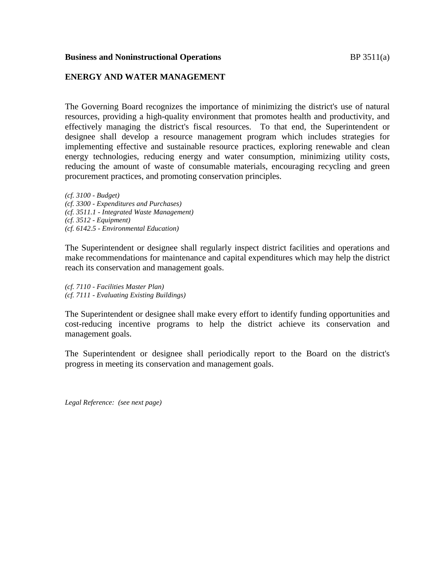## **Business and Noninstructional Operations BP** 3511(a)

## **ENERGY AND WATER MANAGEMENT**

The Governing Board recognizes the importance of minimizing the district's use of natural resources, providing a high-quality environment that promotes health and productivity, and effectively managing the district's fiscal resources. To that end, the Superintendent or designee shall develop a resource management program which includes strategies for implementing effective and sustainable resource practices, exploring renewable and clean energy technologies, reducing energy and water consumption, minimizing utility costs, reducing the amount of waste of consumable materials, encouraging recycling and green procurement practices, and promoting conservation principles.

*(cf. 3100 - Budget) (cf. 3300 - Expenditures and Purchases) (cf. 3511.1 - Integrated Waste Management) (cf. 3512 - Equipment) (cf. 6142.5 - Environmental Education)*

The Superintendent or designee shall regularly inspect district facilities and operations and make recommendations for maintenance and capital expenditures which may help the district reach its conservation and management goals.

*(cf. 7110 - Facilities Master Plan) (cf. 7111 - Evaluating Existing Buildings)*

The Superintendent or designee shall make every effort to identify funding opportunities and cost-reducing incentive programs to help the district achieve its conservation and management goals.

The Superintendent or designee shall periodically report to the Board on the district's progress in meeting its conservation and management goals.

*Legal Reference: (see next page)*